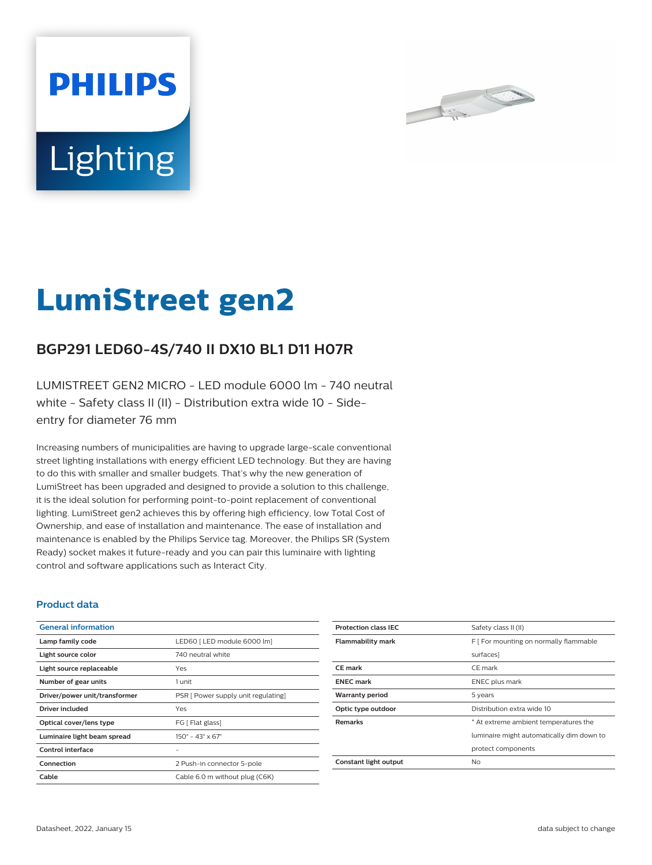



# **LumiStreet gen2**

## **BGP291 LED60-4S/740 II DX10 BL1 D11 H07R**

LUMISTREET GEN2 MICRO - LED module 6000 lm - 740 neutral white - Safety class II (II) - Distribution extra wide 10 - Sideentry for diameter 76 mm

Increasing numbers of municipalities are having to upgrade large-scale conventional street lighting installations with energy efficient LED technology. But they are having to do this with smaller and smaller budgets. That's why the new generation of LumiStreet has been upgraded and designed to provide a solution to this challenge, it is the ideal solution for performing point-to-point replacement of conventional lighting. LumiStreet gen2 achieves this by offering high efficiency, low Total Cost of Ownership, and ease of installation and maintenance. The ease of installation and maintenance is enabled by the Philips Service tag. Moreover, the Philips SR (System Ready) socket makes it future-ready and you can pair this luminaire with lighting control and software applications such as Interact City.

#### **Product data**

| <b>General information</b>    |                                              |
|-------------------------------|----------------------------------------------|
| Lamp family code              | LED60   LED module 6000 lm]                  |
| Light source color            | 740 neutral white                            |
| Light source replaceable      | Yes                                          |
| Number of gear units          | 1 unit                                       |
| Driver/power unit/transformer | PSR [ Power supply unit regulating]          |
| Driver included               | Yes                                          |
| Optical cover/lens type       | FG [ Flat glass]                             |
| Luminaire light beam spread   | $150^{\circ} - 43^{\circ} \times 67^{\circ}$ |
| Control interface             |                                              |
| Connection                    | 2 Push-in connector 5-pole                   |
| Cable                         | Cable 6.0 m without plug (C6K)               |

| <b>Protection class IEC</b> | Safety class II (II)                      |
|-----------------------------|-------------------------------------------|
| <b>Flammability mark</b>    | F [ For mounting on normally flammable    |
|                             | surfaces]                                 |
| <b>CE</b> mark              | CE mark                                   |
| <b>ENEC mark</b>            | ENEC plus mark                            |
| <b>Warranty period</b>      | 5 years                                   |
| Optic type outdoor          | Distribution extra wide 10                |
| <b>Remarks</b>              | * At extreme ambient temperatures the     |
|                             | luminaire might automatically dim down to |
|                             | protect components                        |
| Constant light output       | No                                        |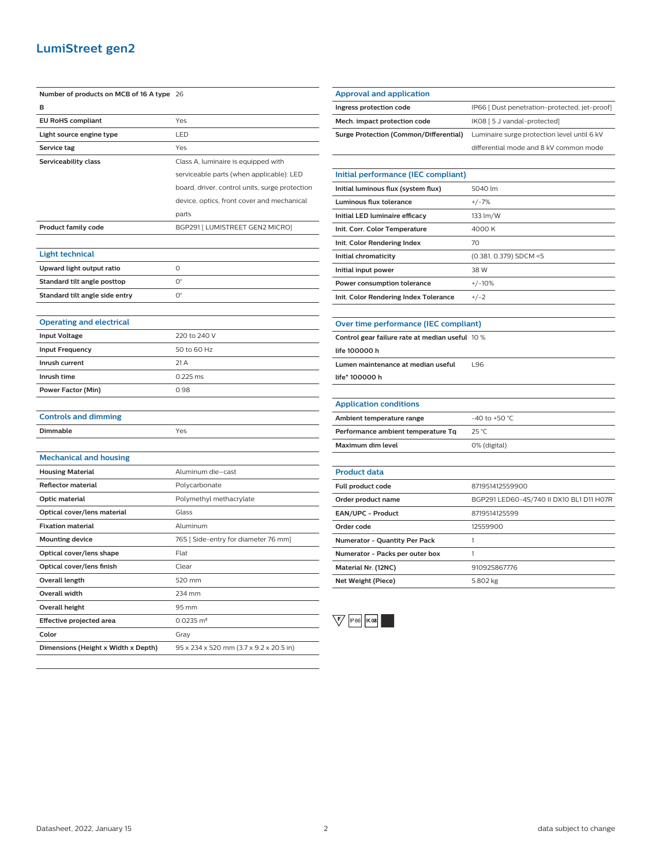### **LumiStreet gen2**

| Number of products on MCB of 16 A type 26 |                                                |
|-------------------------------------------|------------------------------------------------|
| в                                         |                                                |
| <b>EU RoHS compliant</b>                  | Yes                                            |
| Light source engine type                  | LED                                            |
| Service tag                               | Yes                                            |
| Serviceability class                      | Class A, luminaire is equipped with            |
|                                           | serviceable parts (when applicable): LED       |
|                                           | board, driver, control units, surge protection |
|                                           | device, optics, front cover and mechanical     |
|                                           | parts                                          |
| Product family code                       | BGP291 [ LUMISTREET GEN2 MICRO]                |
|                                           |                                                |
| <b>Light technical</b>                    |                                                |
| Upward light output ratio                 | 0                                              |
| Standard tilt angle posttop               | $O^{\circ}$                                    |
| Standard tilt angle side entry            | О°                                             |
|                                           |                                                |
| <b>Operating and electrical</b>           |                                                |
| <b>Input Voltage</b>                      | 220 to 240 V                                   |
| <b>Input Frequency</b>                    | 50 to 60 Hz                                    |
| Inrush current                            | 21 A                                           |
| Inrush time                               | 0.225 ms                                       |
| Power Factor (Min)                        | 0.98                                           |
|                                           |                                                |
| <b>Controls and dimming</b>               |                                                |
| Dimmable                                  | Yes                                            |
|                                           |                                                |
| <b>Mechanical and housing</b>             |                                                |
| <b>Housing Material</b>                   | Aluminum die-cast                              |
| <b>Reflector material</b>                 | Polycarbonate                                  |
| Optic material                            | Polymethyl methacrylate                        |
| Optical cover/lens material               | Glass                                          |
| <b>Fixation material</b>                  | Aluminum                                       |
| <b>Mounting device</b>                    | 76S [ Side-entry for diameter 76 mm]           |
| Optical cover/lens shape                  | Flat                                           |
| Optical cover/lens finish                 | Clear                                          |
| <b>Overall length</b>                     | 520 mm                                         |
| Overall width                             | 234 mm                                         |
| Overall height                            | 95 mm                                          |
| <b>Effective projected area</b>           | $0.0235 \; \text{m}^2$                         |
| Color                                     | Gray                                           |
| Dimensions (Height x Width x Depth)       | 95 x 234 x 520 mm (3.7 x 9.2 x 20.5 in)        |

| <b>Approval and application</b>        |                                               |
|----------------------------------------|-----------------------------------------------|
| Ingress protection code                | IP66 [ Dust penetration-protected, jet-proof] |
| Mech. impact protection code           | IK08 [ 5 J vandal-protected]                  |
| Surge Protection (Common/Differential) | Luminaire surge protection level until 6 kV   |
|                                        | differential mode and 8 kV common mode        |
|                                        |                                               |
| Initial performance (IEC compliant)    |                                               |

| Initial luminous flux (system flux)   | 5040 lm                |
|---------------------------------------|------------------------|
| Luminous flux tolerance               | $+/-7%$                |
| Initial LED luminaire efficacy        | 133 lm/W               |
| Init. Corr. Color Temperature         | 4000 K                 |
| Init. Color Rendering Index           | 70                     |
| Initial chromaticity                  | (0.381, 0.379) SDCM <5 |
| Initial input power                   | 38 W                   |
| Power consumption tolerance           | $+/-10%$               |
| Init. Color Rendering Index Tolerance | $+/-2$                 |

| Over time performance (IEC compliant) |  |
|---------------------------------------|--|
|                                       |  |

l,

| Control gear failure rate at median useful 10 % |     |
|-------------------------------------------------|-----|
| life 100000 h                                   |     |
| Lumen maintenance at median useful              | 196 |
| life* 100000 h                                  |     |
|                                                 |     |

| <b>Application conditions</b>      |                    |
|------------------------------------|--------------------|
| Ambient temperature range          | $-40$ to $+50$ °C. |
| Performance ambient temperature Tq | $25^{\circ}$ C     |
| Maximum dim level                  | 0% (digital)       |

| <b>Product data</b>                  |                                          |
|--------------------------------------|------------------------------------------|
| Full product code                    | 871951412559900                          |
| Order product name                   | BGP291 LED60-4S/740 II DX10 BL1 D11 H07R |
| <b>EAN/UPC - Product</b>             | 8719514125599                            |
| Order code                           | 12559900                                 |
| <b>Numerator - Quantity Per Pack</b> |                                          |
| Numerator - Packs per outer box      |                                          |
| Material Nr. (12NC)                  | 910925867776                             |
| Net Weight (Piece)                   | 5.802 kg                                 |